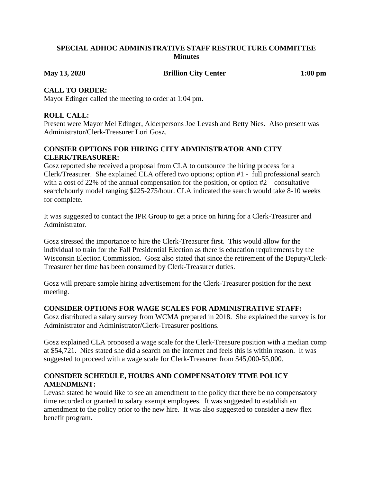#### **SPECIAL ADHOC ADMINISTRATIVE STAFF RESTRUCTURE COMMITTEE Minutes**

**May 13, 2020 Brillion City Center 1:00 pm**

#### **CALL TO ORDER:**

Mayor Edinger called the meeting to order at 1:04 pm.

# **ROLL CALL:**

Present were Mayor Mel Edinger, Alderpersons Joe Levash and Betty Nies. Also present was Administrator/Clerk-Treasurer Lori Gosz.

# **CONSIER OPTIONS FOR HIRING CITY ADMINISTRATOR AND CITY CLERK/TREASURER:**

Gosz reported she received a proposal from CLA to outsource the hiring process for a Clerk/Treasurer. She explained CLA offered two options; option #1 - full professional search with a cost of 22% of the annual compensation for the position, or option  $#2$  – consultative search/hourly model ranging \$225-275/hour. CLA indicated the search would take 8-10 weeks for complete.

It was suggested to contact the IPR Group to get a price on hiring for a Clerk-Treasurer and Administrator.

Gosz stressed the importance to hire the Clerk-Treasurer first. This would allow for the individual to train for the Fall Presidential Election as there is education requirements by the Wisconsin Election Commission. Gosz also stated that since the retirement of the Deputy/Clerk-Treasurer her time has been consumed by Clerk-Treasurer duties.

Gosz will prepare sample hiring advertisement for the Clerk-Treasurer position for the next meeting.

## **CONSIDER OPTIONS FOR WAGE SCALES FOR ADMINISTRATIVE STAFF:**

Gosz distributed a salary survey from WCMA prepared in 2018. She explained the survey is for Administrator and Administrator/Clerk-Treasurer positions.

Gosz explained CLA proposed a wage scale for the Clerk-Treasure position with a median comp at \$54,721. Nies stated she did a search on the internet and feels this is within reason. It was suggested to proceed with a wage scale for Clerk-Treasurer from \$45,000-55,000.

## **CONSIDER SCHEDULE, HOURS AND COMPENSATORY TIME POLICY AMENDMENT:**

Levash stated he would like to see an amendment to the policy that there be no compensatory time recorded or granted to salary exempt employees. It was suggested to establish an amendment to the policy prior to the new hire. It was also suggested to consider a new flex benefit program.